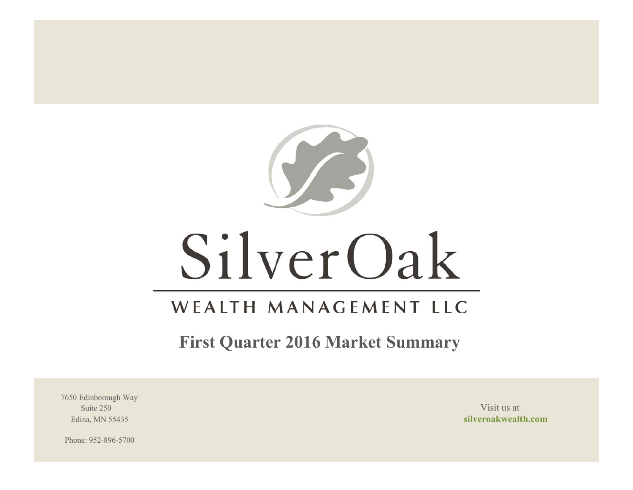

# SilverOak

# WEALTH MANAGEMENT LLC

**First Quarter 2016 Market Summary**

7650 Edinborough Way Suite 250 Visit us at the set of the set of the set of the set of the set of the set of the set of the set of the set of the set of the set of the set of the set of the set of the set of the set of the set of the set of th

Edina, MN 55435 **silveroakwealth.com**

Phone: 952-896-5700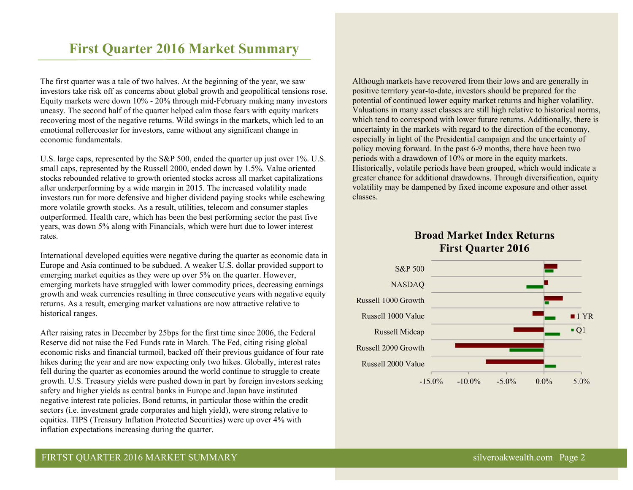# **First Quarter 2016 Market Summary**

The first quarter was a tale of two halves. At the beginning of the year, we saw investors take risk off as concerns about global growth and geopolitical tensions rose. Equity markets were down 10% - 20% through mid-February making many investors uneasy. The second half of the quarter helped calm those fears with equity markets recovering most of the negative returns. Wild swings in the markets, which led to an emotional rollercoaster for investors, came without any significant change in economic fundamentals.

U.S. large caps, represented by the S&P 500, ended the quarter up just over 1%. U.S. small caps, represented by the Russell 2000, ended down by 1.5%. Value oriented stocks rebounded relative to growth oriented stocks across all market capitalizations after underperforming by a wide margin in 2015. The increased volatility made investors run for more defensive and higher dividend paying stocks while eschewing more volatile growth stocks. As a result, utilities, telecom and consumer staples outperformed. Health care, which has been the best performing sector the past five years, was down 5% along with Financials, which were hurt due to lower interest rates.

International developed equities were negative during the quarter as economic data in Europe and Asia continued to be subdued. A weaker U.S. dollar provided support to emerging market equities as they were up over 5% on the quarter. However, emerging markets have struggled with lower commodity prices, decreasing earnings growth and weak currencies resulting in three consecutive years with negative equity returns. As a result, emerging market valuations are now attractive relative to historical ranges.

After raising rates in December by 25bps for the first time since 2006, the Federal Reserve did not raise the Fed Funds rate in March. The Fed, citing rising global economic risks and financial turmoil, backed off their previous guidance of four rate hikes during the year and are now expecting only two hikes. Globally, interest rates fell during the quarter as economies around the world continue to struggle to create growth. U.S. Treasury yields were pushed down in part by foreign investors seeking safety and higher yields as central banks in Europe and Japan have instituted negative interest rate policies. Bond returns, in particular those within the credit sectors (i.e. investment grade corporates and high yield), were strong relative to equities. TIPS (Treasury Inflation Protected Securities) were up over 4% with inflation expectations increasing during the quarter.

Although markets have recovered from their lows and are generally in positive territory year-to-date, investors should be prepared for the potential of continued lower equity market returns and higher volatility. Valuations in many asset classes are still high relative to historical norms, which tend to correspond with lower future returns. Additionally, there is uncertainty in the markets with regard to the direction of the economy, especially in light of the Presidential campaign and the uncertainty of policy moving forward. In the past 6-9 months, there have been two periods with a drawdown of 10% or more in the equity markets. Historically, volatile periods have been grouped, which would indicate a greater chance for additional drawdowns. Through diversification, equity volatility may be dampened by fixed income exposure and other asset classes.

# **Broad Market Index Returns First Quarter 2016**

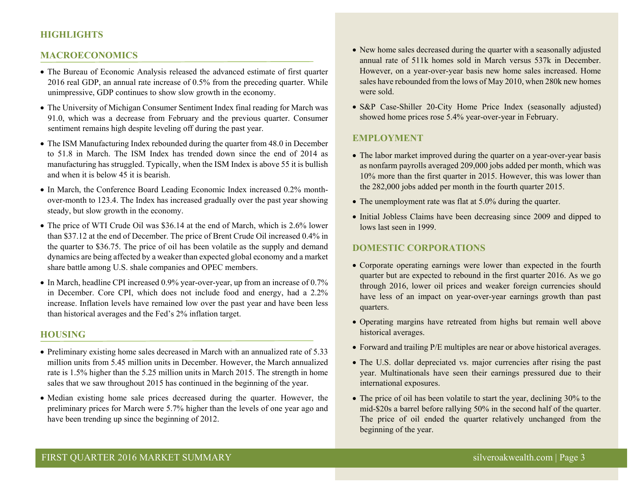# **HIGHLIGHTS**

#### **MACROECONOMICS**

- The Bureau of Economic Analysis released the advanced estimate of first quarter 2016 real GDP, an annual rate increase of 0.5% from the preceding quarter. While unimpressive, GDP continues to show slow growth in the economy.
- The University of Michigan Consumer Sentiment Index final reading for March was 91.0, which was a decrease from February and the previous quarter. Consumer sentiment remains high despite leveling off during the past year.
- The ISM Manufacturing Index rebounded during the quarter from 48.0 in December to 51.8 in March. The ISM Index has trended down since the end of 2014 as manufacturing has struggled. Typically, when the ISM Index is above 55 it is bullish and when it is below 45 it is bearish.
- In March, the Conference Board Leading Economic Index increased 0.2% monthover-month to 123.4. The Index has increased gradually over the past year showing steady, but slow growth in the economy.
- The price of WTI Crude Oil was \$36.14 at the end of March, which is 2.6% lower than \$37.12 at the end of December. The price of Brent Crude Oil increased 0.4% in the quarter to \$36.75. The price of oil has been volatile as the supply and demand dynamics are being affected by a weaker than expected global economy and a market share battle among U.S. shale companies and OPEC members.
- In March, headline CPI increased 0.9% year-over-year, up from an increase of 0.7% in December. Core CPI, which does not include food and energy, had a 2.2% increase. Inflation levels have remained low over the past year and have been less than historical averages and the Fed's 2% inflation target.

#### **HOUSING**

- Preliminary existing home sales decreased in March with an annualized rate of 5.33 million units from 5.45 million units in December. However, the March annualized rate is 1.5% higher than the 5.25 million units in March 2015. The strength in home sales that we saw throughout 2015 has continued in the beginning of the year.
- Median existing home sale prices decreased during the quarter. However, the preliminary prices for March were 5.7% higher than the levels of one year ago and have been trending up since the beginning of 2012.
- New home sales decreased during the quarter with a seasonally adjusted annual rate of 511k homes sold in March versus 537k in December. However, on a year-over-year basis new home sales increased. Home sales have rebounded from the lows of May 2010, when 280k new homes were sold.
- S&P Case-Shiller 20-City Home Price Index (seasonally adjusted) showed home prices rose 5.4% year-over-year in February.

#### **EMPLOYMENT**

- The labor market improved during the quarter on a year-over-year basis as nonfarm payrolls averaged 209,000 jobs added per month, which was 10% more than the first quarter in 2015. However, this was lower than the 282,000 jobs added per month in the fourth quarter 2015.
- The unemployment rate was flat at 5.0% during the quarter.
- Initial Jobless Claims have been decreasing since 2009 and dipped to lows last seen in 1999.

# **DOMESTIC CORPORATIONS**

- Corporate operating earnings were lower than expected in the fourth quarter but are expected to rebound in the first quarter 2016. As we go through 2016, lower oil prices and weaker foreign currencies should have less of an impact on year-over-year earnings growth than past quarters.
- Operating margins have retreated from highs but remain well above historical averages.
- Forward and trailing P/E multiples are near or above historical averages.
- The U.S. dollar depreciated vs. major currencies after rising the past year. Multinationals have seen their earnings pressured due to their international exposures.
- The price of oil has been volatile to start the year, declining 30% to the mid-\$20s a barrel before rallying 50% in the second half of the quarter. The price of oil ended the quarter relatively unchanged from the beginning of the year.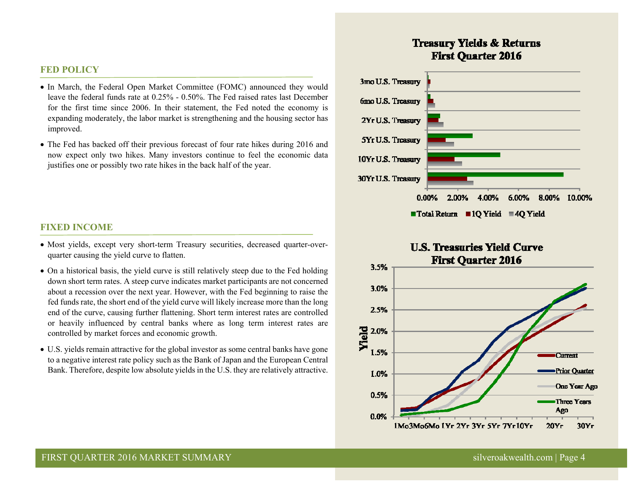### **FED POLICY**

- In March, the Federal Open Market Committee (FOMC) announced they would leave the federal funds rate at 0.25% - 0.50%. The Fed raised rates last December for the first time since 2006. In their statement, the Fed noted the economy is expanding moderately, the labor market is strengthening and the housing sector has improved.
- The Fed has backed off their previous forecast of four rate hikes during 2016 and now expect only two hikes. Many investors continue to feel the economic data justifies one or possibly two rate hikes in the back half of the year.

#### **FIXED INCOME**

- Most yields, except very short-term Treasury securities, decreased quarter-overquarter causing the yield curve to flatten.
- On a historical basis, the yield curve is still relatively steep due to the Fed holding down short term rates. A steep curve indicates market participants are not concerned about a recession over the next year. However, with the Fed beginning to raise the fed funds rate, the short end of the yield curve will likely increase more than the long end of the curve, causing further flattening. Short term interest rates are controlled or heavily influenced by central banks where as long term interest rates are controlled by market forces and economic growth.
- U.S. yields remain attractive for the global investor as some central banks have gone to a negative interest rate policy such as the Bank of Japan and the European Central Bank. Therefore, despite low absolute yields in the U.S. they are relatively attractive.

# **Treasury Yields & Returns First Ouarter 2016**



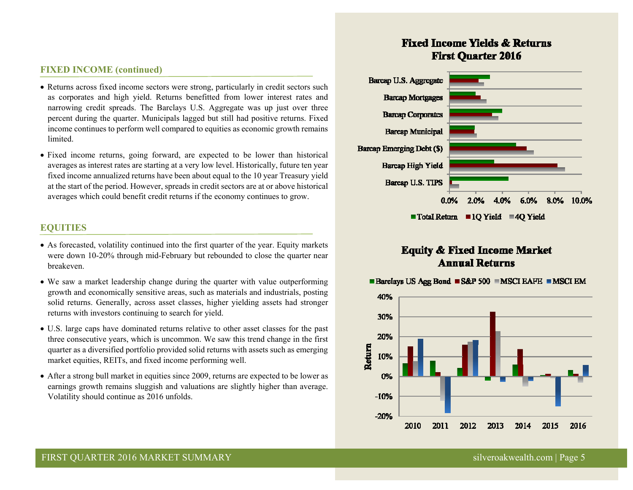# **FIXED INCOME (continued)**

- Returns across fixed income sectors were strong, particularly in credit sectors such as corporates and high yield. Returns benefitted from lower interest rates and narrowing credit spreads. The Barclays U.S. Aggregate was up just over three percent during the quarter. Municipals lagged but still had positive returns. Fixed income continues to perform well compared to equities as economic growth remains limited.
- Fixed income returns, going forward, are expected to be lower than historical averages as interest rates are starting at a very low level. Historically, future ten year fixed income annualized returns have been about equal to the 10 year Treasury yield at the start of the period. However, spreads in credit sectors are at or above historical averages which could benefit credit returns if the economy continues to grow.

# **EQUITIES**

- As forecasted, volatility continued into the first quarter of the year. Equity markets were down 10-20% through mid-February but rebounded to close the quarter near breakeven.
- We saw a market leadership change during the quarter with value outperforming growth and economically sensitive areas, such as materials and industrials, posting solid returns. Generally, across asset classes, higher yielding assets had stronger returns with investors continuing to search for yield.
- U.S. large caps have dominated returns relative to other asset classes for the past three consecutive years, which is uncommon. We saw this trend change in the first quarter as a diversified portfolio provided solid returns with assets such as emerging market equities, REITs, and fixed income performing well.
- After a strong bull market in equities since 2009, returns are expected to be lower as earnings growth remains sluggish and valuations are slightly higher than average. Volatility should continue as 2016 unfolds.

# **Fixed Income Yields & Returns First Ouarter 2016**



# **Equity & Fixed Income Market Annual Returns**



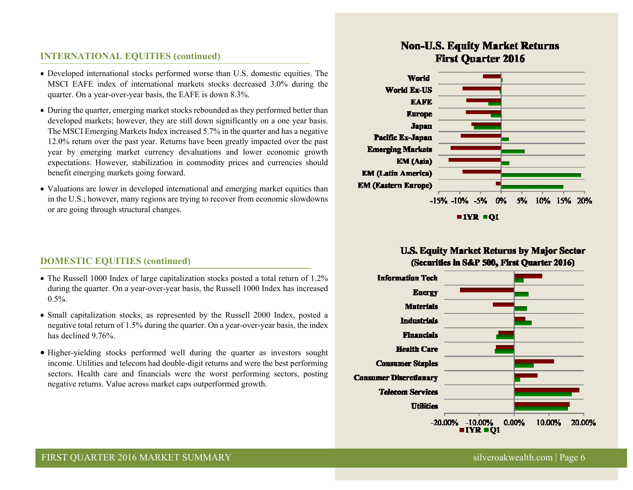# **INTERNATIONAL EQUITIES (continued)**

- Developed international stocks performed worse than U.S. domestic equities. The MSCI EAFE index of international markets stocks decreased 3.0% during the quarter. On a year-over-year basis, the EAFE is down 8.3%.
- During the quarter, emerging market stocks rebounded as they performed better than developed markets; however, they are still down significantly on a one year basis. The MSCI Emerging Markets Index increased 5.7% in the quarter and has a negative 12.0% return over the past year. Returns have been greatly impacted over the past year by emerging market currency devaluations and lower economic growth expectations. However, stabilization in commodity prices and currencies should benefit emerging markets going forward.
- Valuations are lower in developed international and emerging market equities than in the U.S.; however, many regions are trying to recover from economic slowdowns or are going through structural changes.

# **DOMESTIC EQUITIES (continued)**

- The Russell 1000 Index of large capitalization stocks posted a total return of 1.2% during the quarter. On a year-over-year basis, the Russell 1000 Index has increased  $0.5\%$ .
- Small capitalization stocks, as represented by the Russell 2000 Index, posted a negative total return of 1.5% during the quarter. On a year-over-year basis, the index has declined 9.76%
- Higher-yielding stocks performed well during the quarter as investors sought income. Utilities and telecom had double-digit returns and were the best performing sectors. Health care and financials were the worst performing sectors, posting negative returns. Value across market caps outperformed growth.

# **Non-U.S. Equity Market Returns First Quarter 2016**



 $IYR = 01$ 

# **U.S. Equity Market Returns by Major Sector** (Securities in S&P 500, First Ouarter 2016)